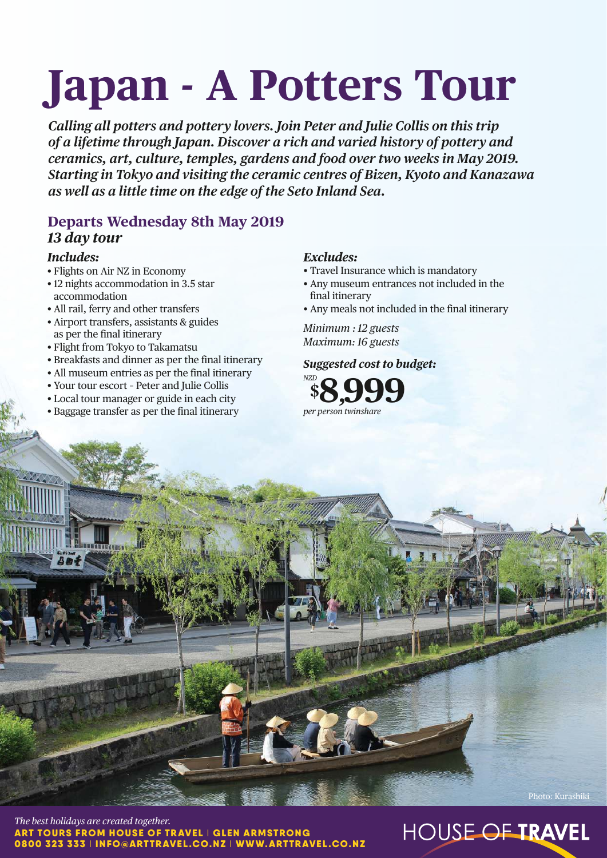# **Japan - A Potters Tour**

*Calling all potters and pottery lovers. Join Peter and Julie Collis on this trip of a lifetime through Japan. Discover a rich and varied history of pottery and ceramics, art, culture, temples, gardens and food over two weeks in May 2019. Starting in Tokyo and visiting the ceramic centres of Bizen, Kyoto and Kanazawa as well as a little time on the edge of the Seto Inland Sea.*

# **Departs Wednesday 8th May 2019** *13 day tour*

### *Includes:*

- Flights on Air NZ in Economy
- 12 nights accommodation in 3.5 star accommodation
- All rail, ferry and other transfers
- Airport transfers, assistants & guides as per the final itinerary
- Flight from Tokyo to Takamatsu
- Breakfasts and dinner as per the final itinerary
- All museum entries as per the final itinerary
- Your tour escort Peter and Julie Collis
- Local tour manager or guide in each city
- Baggage transfer as per the final itinerary

## *Excludes:*

- Travel Insurance which is mandatory
- Any museum entrances not included in the final itinerary
- Any meals not included in the final itinerary

*Minimum : 12 guests Maximum: 16 guests*

# *Suggested cost to budget:*



*The best holidays are created together.* ART TOURS FROM HOUSE OF TRAVEL | GLEN ARMSTRONG 0800 323 333 I INFO@ARTTRAVEL.CO.NZ I WWW.ARTTRAVEL.CO.NZ

# HOUSE OF TRAVEL

Photo: Kurashiki